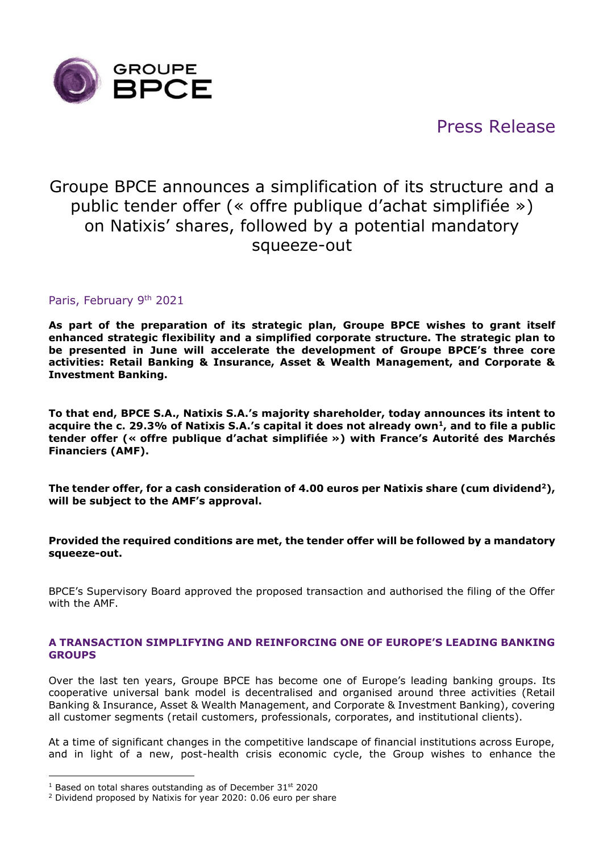

# Press Release

# Groupe BPCE announces a simplification of its structure and a public tender offer (« offre publique d'achat simplifiée ») on Natixis' shares, followed by a potential mandatory squeeze-out

# Paris, February 9th 2021

**As part of the preparation of its strategic plan, Groupe BPCE wishes to grant itself enhanced strategic flexibility and a simplified corporate structure. The strategic plan to be presented in June will accelerate the development of Groupe BPCE's three core activities: Retail Banking & Insurance, Asset & Wealth Management, and Corporate & Investment Banking.**

**To that end, BPCE S.A., Natixis S.A.'s majority shareholder, today announces its intent to acquire the c. 29.3% of Natixis S.A.'s capital it does not already own<sup>1</sup> , and to file a public tender offer (« offre publique d'achat simplifiée ») with France's Autorité des Marchés Financiers (AMF).**

**The tender offer, for a cash consideration of 4.00 euros per Natixis share (cum dividend<sup>2</sup>), will be subject to the AMF's approval.**

## **Provided the required conditions are met, the tender offer will be followed by a mandatory squeeze-out.**

BPCE's Supervisory Board approved the proposed transaction and authorised the filing of the Offer with the AMF.

### **A TRANSACTION SIMPLIFYING AND REINFORCING ONE OF EUROPE'S LEADING BANKING GROUPS**

Over the last ten years, Groupe BPCE has become one of Europe's leading banking groups. Its cooperative universal bank model is decentralised and organised around three activities (Retail Banking & Insurance, Asset & Wealth Management, and Corporate & Investment Banking), covering all customer segments (retail customers, professionals, corporates, and institutional clients).

At a time of significant changes in the competitive landscape of financial institutions across Europe, and in light of a new, post-health crisis economic cycle, the Group wishes to enhance the

 $1$  Based on total shares outstanding as of December 31st 2020

<sup>2</sup> Dividend proposed by Natixis for year 2020: 0.06 euro per share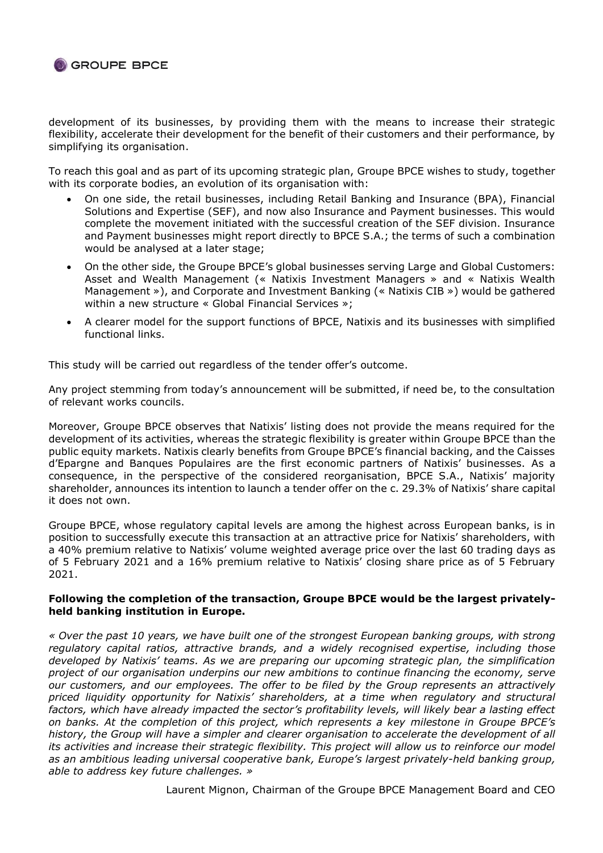

development of its businesses, by providing them with the means to increase their strategic flexibility, accelerate their development for the benefit of their customers and their performance, by simplifying its organisation.

To reach this goal and as part of its upcoming strategic plan, Groupe BPCE wishes to study, together with its corporate bodies, an evolution of its organisation with:

- On one side, the retail businesses, including Retail Banking and Insurance (BPA), Financial Solutions and Expertise (SEF), and now also Insurance and Payment businesses. This would complete the movement initiated with the successful creation of the SEF division. Insurance and Payment businesses might report directly to BPCE S.A.; the terms of such a combination would be analysed at a later stage;
- On the other side, the Groupe BPCE's global businesses serving Large and Global Customers: Asset and Wealth Management (« Natixis Investment Managers » and « Natixis Wealth Management »), and Corporate and Investment Banking (« Natixis CIB ») would be gathered within a new structure « Global Financial Services »;
- A clearer model for the support functions of BPCE, Natixis and its businesses with simplified functional links.

This study will be carried out regardless of the tender offer's outcome.

Any project stemming from today's announcement will be submitted, if need be, to the consultation of relevant works councils.

Moreover, Groupe BPCE observes that Natixis' listing does not provide the means required for the development of its activities, whereas the strategic flexibility is greater within Groupe BPCE than the public equity markets. Natixis clearly benefits from Groupe BPCE's financial backing, and the Caisses d'Epargne and Banques Populaires are the first economic partners of Natixis' businesses. As a consequence, in the perspective of the considered reorganisation, BPCE S.A., Natixis' majority shareholder, announces its intention to launch a tender offer on the c. 29.3% of Natixis' share capital it does not own.

Groupe BPCE, whose regulatory capital levels are among the highest across European banks, is in position to successfully execute this transaction at an attractive price for Natixis' shareholders, with a 40% premium relative to Natixis' volume weighted average price over the last 60 trading days as of 5 February 2021 and a 16% premium relative to Natixis' closing share price as of 5 February 2021.

### **Following the completion of the transaction, Groupe BPCE would be the largest privatelyheld banking institution in Europe.**

*« Over the past 10 years, we have built one of the strongest European banking groups, with strong regulatory capital ratios, attractive brands, and a widely recognised expertise, including those developed by Natixis' teams. As we are preparing our upcoming strategic plan, the simplification project of our organisation underpins our new ambitions to continue financing the economy, serve our customers, and our employees. The offer to be filed by the Group represents an attractively priced liquidity opportunity for Natixis' shareholders, at a time when regulatory and structural factors, which have already impacted the sector's profitability levels, will likely bear a lasting effect on banks. At the completion of this project, which represents a key milestone in Groupe BPCE's history, the Group will have a simpler and clearer organisation to accelerate the development of all its activities and increase their strategic flexibility. This project will allow us to reinforce our model as an ambitious leading universal cooperative bank, Europe's largest privately-held banking group, able to address key future challenges. »*

Laurent Mignon, Chairman of the Groupe BPCE Management Board and CEO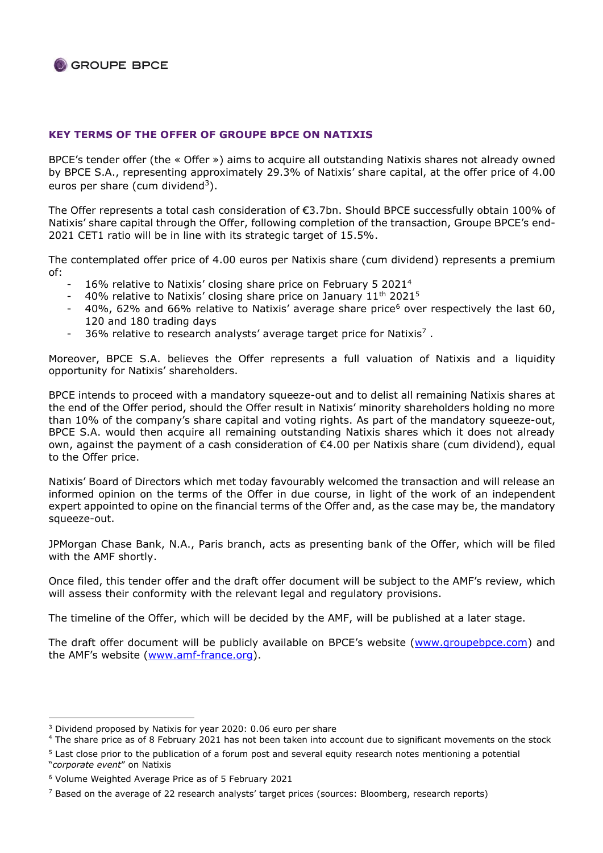## **KEY TERMS OF THE OFFER OF GROUPE BPCE ON NATIXIS**

BPCE's tender offer (the « Offer ») aims to acquire all outstanding Natixis shares not already owned by BPCE S.A., representing approximately 29.3% of Natixis' share capital, at the offer price of 4.00 euros per share (cum dividend<sup>3</sup>).

The Offer represents a total cash consideration of €3.7bn. Should BPCE successfully obtain 100% of Natixis' share capital through the Offer, following completion of the transaction, Groupe BPCE's end-2021 CET1 ratio will be in line with its strategic target of 15.5%.

The contemplated offer price of 4.00 euros per Natixis share (cum dividend) represents a premium of:

- 16% relative to Natixis' closing share price on February 5 2021<sup>4</sup>
- 40% relative to Natixis' closing share price on January 11<sup>th</sup> 2021<sup>5</sup>
- 40%, 62% and 66% relative to Natixis' average share price<sup>6</sup> over respectively the last 60, 120 and 180 trading days
- 36% relative to research analysts' average target price for Natixis<sup>7</sup>.

Moreover, BPCE S.A. believes the Offer represents a full valuation of Natixis and a liquidity opportunity for Natixis' shareholders.

BPCE intends to proceed with a mandatory squeeze-out and to delist all remaining Natixis shares at the end of the Offer period, should the Offer result in Natixis' minority shareholders holding no more than 10% of the company's share capital and voting rights. As part of the mandatory squeeze-out, BPCE S.A. would then acquire all remaining outstanding Natixis shares which it does not already own, against the payment of a cash consideration of €4.00 per Natixis share (cum dividend), equal to the Offer price.

Natixis' Board of Directors which met today favourably welcomed the transaction and will release an informed opinion on the terms of the Offer in due course, in light of the work of an independent expert appointed to opine on the financial terms of the Offer and, as the case may be, the mandatory squeeze-out.

JPMorgan Chase Bank, N.A., Paris branch, acts as presenting bank of the Offer, which will be filed with the AMF shortly.

Once filed, this tender offer and the draft offer document will be subject to the AMF's review, which will assess their conformity with the relevant legal and regulatory provisions.

The timeline of the Offer, which will be decided by the AMF, will be published at a later stage.

The draft offer document will be publicly available on BPCE's website ([www.groupebpce.com\)](http://www.groupebpce.com/) and the AMF's website ([www.amf-france.org\)](http://www.amf-france.org/).

<sup>&</sup>lt;sup>3</sup> Dividend proposed by Natixis for year 2020: 0.06 euro per share

<sup>4</sup> The share price as of 8 February 2021 has not been taken into account due to significant movements on the stock

<sup>5</sup> Last close prior to the publication of a forum post and several equity research notes mentioning a potential "*corporate event*" on Natixis

<sup>6</sup> Volume Weighted Average Price as of 5 February 2021

<sup>7</sup> Based on the average of 22 research analysts' target prices (sources: Bloomberg, research reports)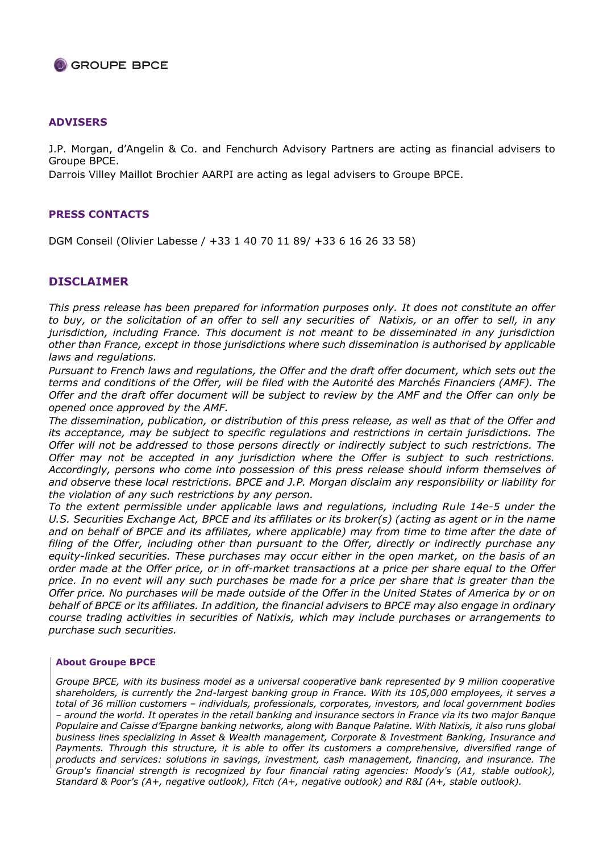

#### **ADVISERS**

J.P. Morgan, d'Angelin & Co. and Fenchurch Advisory Partners are acting as financial advisers to Groupe BPCE.

Darrois Villey Maillot Brochier AARPI are acting as legal advisers to Groupe BPCE.

#### **PRESS CONTACTS**

DGM Conseil (Olivier Labesse / +33 1 40 70 11 89/ +33 6 16 26 33 58)

#### **DISCLAIMER**

*This press release has been prepared for information purposes only. It does not constitute an offer to buy, or the solicitation of an offer to sell any securities of Natixis, or an offer to sell, in any jurisdiction, including France. This document is not meant to be disseminated in any jurisdiction other than France, except in those jurisdictions where such dissemination is authorised by applicable laws and regulations.*

*Pursuant to French laws and regulations, the Offer and the draft offer document, which sets out the terms and conditions of the Offer, will be filed with the Autorité des Marchés Financiers (AMF). The Offer and the draft offer document will be subject to review by the AMF and the Offer can only be opened once approved by the AMF.*

*The dissemination, publication, or distribution of this press release, as well as that of the Offer and its acceptance, may be subject to specific regulations and restrictions in certain jurisdictions. The Offer will not be addressed to those persons directly or indirectly subject to such restrictions. The Offer may not be accepted in any jurisdiction where the Offer is subject to such restrictions. Accordingly, persons who come into possession of this press release should inform themselves of and observe these local restrictions. BPCE and J.P. Morgan disclaim any responsibility or liability for the violation of any such restrictions by any person.*

*To the extent permissible under applicable laws and regulations, including Rule 14e-5 under the U.S. Securities Exchange Act, BPCE and its affiliates or its broker(s) (acting as agent or in the name and on behalf of BPCE and its affiliates, where applicable) may from time to time after the date of filing of the Offer, including other than pursuant to the Offer, directly or indirectly purchase any equity-linked securities. These purchases may occur either in the open market, on the basis of an order made at the Offer price, or in off-market transactions at a price per share equal to the Offer price. In no event will any such purchases be made for a price per share that is greater than the Offer price. No purchases will be made outside of the Offer in the United States of America by or on behalf of BPCE or its affiliates. In addition, the financial advisers to BPCE may also engage in ordinary course trading activities in securities of Natixis, which may include purchases or arrangements to purchase such securities.*

#### **About Groupe BPCE**

*Groupe BPCE, with its business model as a universal cooperative bank represented by 9 million cooperative shareholders, is currently the 2nd-largest banking group in France. With its 105,000 employees, it serves a total of 36 million customers – individuals, professionals, corporates, investors, and local government bodies – around the world. It operates in the retail banking and insurance sectors in France via its two major Banque Populaire and Caisse d'Epargne banking networks, along with Banque Palatine. With Natixis, it also runs global business lines specializing in Asset & Wealth management, Corporate & Investment Banking, Insurance and Payments. Through this structure, it is able to offer its customers a comprehensive, diversified range of products and services: solutions in savings, investment, cash management, financing, and insurance. The Group's financial strength is recognized by four financial rating agencies: Moody's (A1, stable outlook), Standard & Poor's (A+, negative outlook), Fitch (A+, negative outlook) and R&I (A+, stable outlook).*